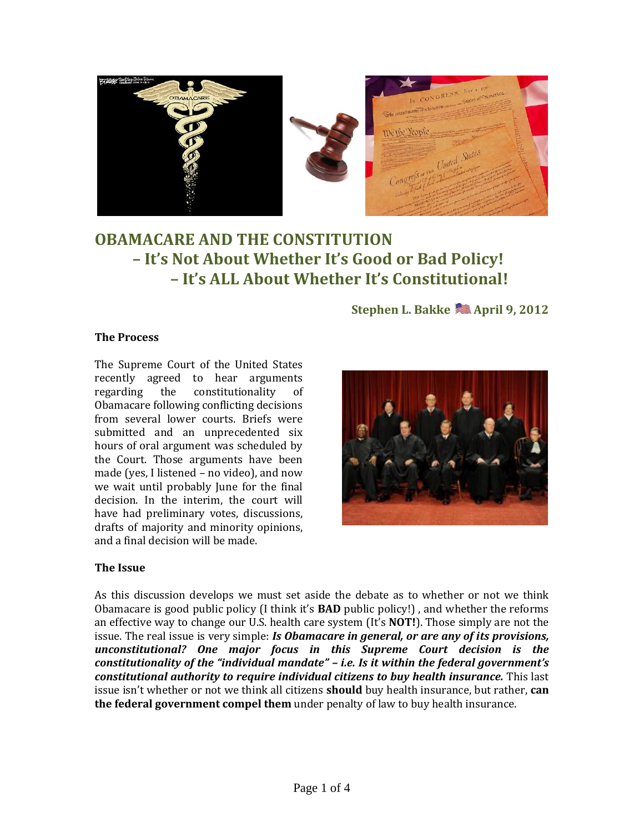

# **OBAMACARE AND THE CONSTITUTION – It's Not About Whether It's Good or Bad Policy! – It's ALL About Whether It's Constitutional!**

# **Stephen L. Bakke April 9, 2012**

### **The Process**

The Supreme Court of the United States recently agreed to hear arguments regarding the constitutionality of Obamacare following conflicting decisions from several lower courts. Briefs were submitted and an unprecedented six hours of oral argument was scheduled by the Court. Those arguments have been made (yes, I listened – no video), and now we wait until probably June for the final decision. In the interim, the court will have had preliminary votes, discussions, drafts of majority and minority opinions, and a final decision will be made.



### **The Issue**

As this discussion develops we must set aside the debate as to whether or not we think Obamacare is good public policy (I think it's **BAD** public policy!) , and whether the reforms an effective way to change our U.S. health care system (It's **NOT!**). Those simply are not the issue. The real issue is very simple: *Is Obamacare in general, or are any of its provisions, unconstitutional? One major focus in this Supreme Court decision is the constitutionality of the "individual mandate" – i.e. Is it within the federal government's constitutional authority to require individual citizens to buy health insurance.* This last issue isn't whether or not we think all citizens **should** buy health insurance, but rather, **can the federal government compel them** under penalty of law to buy health insurance.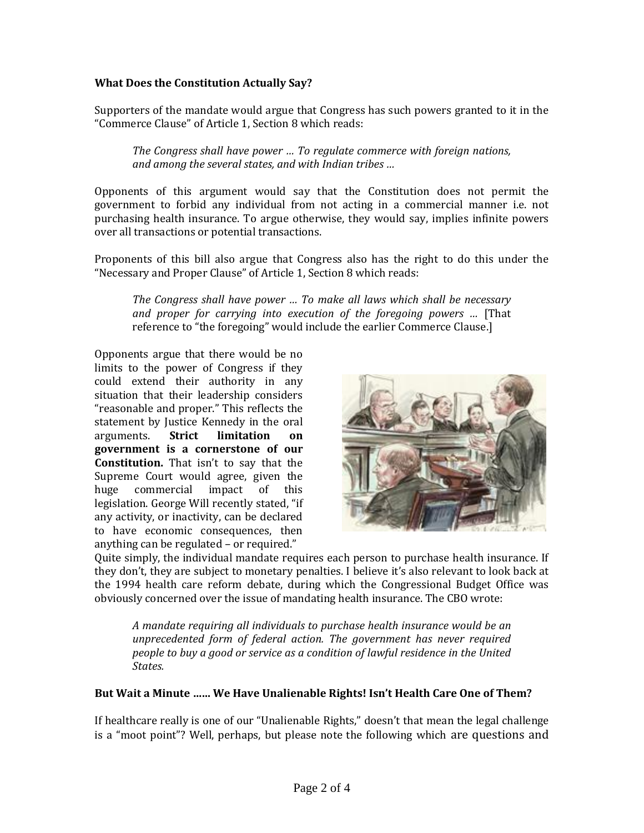### **What Does the Constitution Actually Say?**

Supporters of the mandate would argue that Congress has such powers granted to it in the "Commerce Clause" of Article 1, Section 8 which reads:

*The Congress shall have power … To regulate commerce with foreign nations, and among the several states, and with Indian tribes …*

Opponents of this argument would say that the Constitution does not permit the government to forbid any individual from not acting in a commercial manner i.e. not purchasing health insurance. To argue otherwise, they would say, implies infinite powers over all transactions or potential transactions.

Proponents of this bill also argue that Congress also has the right to do this under the "Necessary and Proper Clause" of Article 1, Section 8 which reads:

*The Congress shall have power … To make all laws which shall be necessary and proper for carrying into execution of the foregoing powers …* [That reference to "the foregoing" would include the earlier Commerce Clause.]

Opponents argue that there would be no limits to the power of Congress if they could extend their authority in any situation that their leadership considers "reasonable and proper." This reflects the statement by Justice Kennedy in the oral arguments. **Strict limitation on government is a cornerstone of our Constitution.** That isn't to say that the Supreme Court would agree, given the huge commercial impact of this legislation. George Will recently stated, "if any activity, or inactivity, can be declared to have economic consequences, then anything can be regulated – or required."



Quite simply, the individual mandate requires each person to purchase health insurance. If they don't, they are subject to monetary penalties. I believe it's also relevant to look back at the 1994 health care reform debate, during which the Congressional Budget Office was obviously concerned over the issue of mandating health insurance. The CBO wrote:

*A mandate requiring all individuals to purchase health insurance would be an unprecedented form of federal action. The government has never required people to buy a good or service as a condition of lawful residence in the United States.*

### **But Wait a Minute …… We Have Unalienable Rights! Isn't Health Care One of Them?**

If healthcare really is one of our "Unalienable Rights," doesn't that mean the legal challenge is a "moot point"? Well, perhaps, but please note the following which are questions and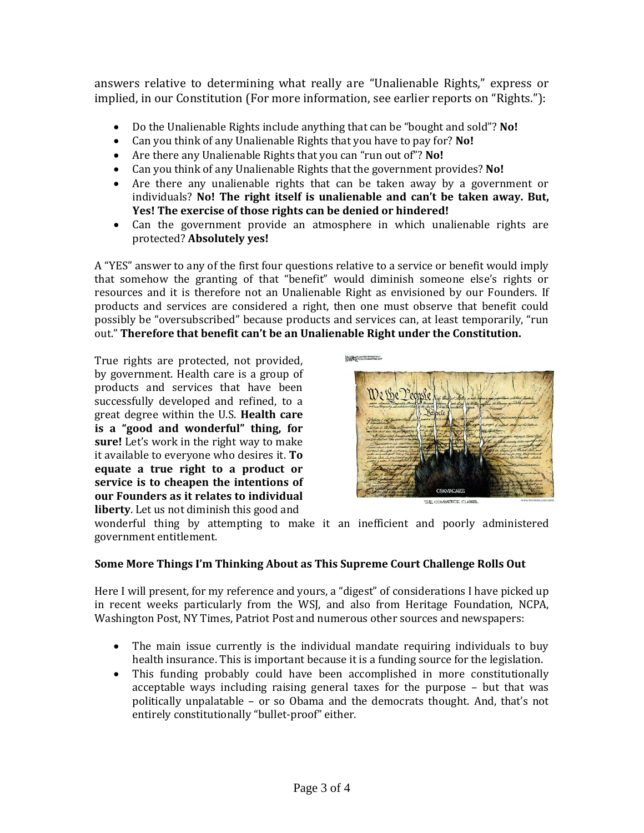answers relative to determining what really are "Unalienable Rights," express or implied, in our Constitution (For more information, see earlier reports on "Rights."):

- Do the Unalienable Rights include anything that can be "bought and sold"? **No!**
- Can you think of any Unalienable Rights that you have to pay for? **No!**
- Are there any Unalienable Rights that you can "run out of"? **No!**
- Can you think of any Unalienable Rights that the government provides? **No!**
- Are there any unalienable rights that can be taken away by a government or individuals? **No! The right itself is unalienable and can't be taken away. But, Yes! The exercise of those rights can be denied or hindered!**
- Can the government provide an atmosphere in which unalienable rights are protected? **Absolutely yes!**

A "YES" answer to any of the first four questions relative to a service or benefit would imply that somehow the granting of that "benefit" would diminish someone else's rights or resources and it is therefore not an Unalienable Right as envisioned by our Founders. If products and services are considered a right, then one must observe that benefit could possibly be "oversubscribed" because products and services can, at least temporarily, "run out." **Therefore that benefit can't be an Unalienable Right under the Constitution.**

True rights are protected, not provided, by government. Health care is a group of products and services that have been successfully developed and refined, to a great degree within the U.S. **Health care is a "good and wonderful" thing, for sure!** Let's work in the right way to make it available to everyone who desires it. **To equate a true right to a product or service is to cheapen the intentions of our Founders as it relates to individual liberty**. Let us not diminish this good and





wonderful thing by attempting to make it an inefficient and poorly administered government entitlement.

# **Some More Things I'm Thinking About as This Supreme Court Challenge Rolls Out**

Here I will present, for my reference and yours, a "digest" of considerations I have picked up in recent weeks particularly from the WSJ, and also from Heritage Foundation, NCPA, Washington Post, NY Times, Patriot Post and numerous other sources and newspapers:

- The main issue currently is the individual mandate requiring individuals to buy health insurance. This is important because it is a funding source for the legislation.
- This funding probably could have been accomplished in more constitutionally acceptable ways including raising general taxes for the purpose – but that was politically unpalatable – or so Obama and the democrats thought. And, that's not entirely constitutionally "bullet-proof" either.